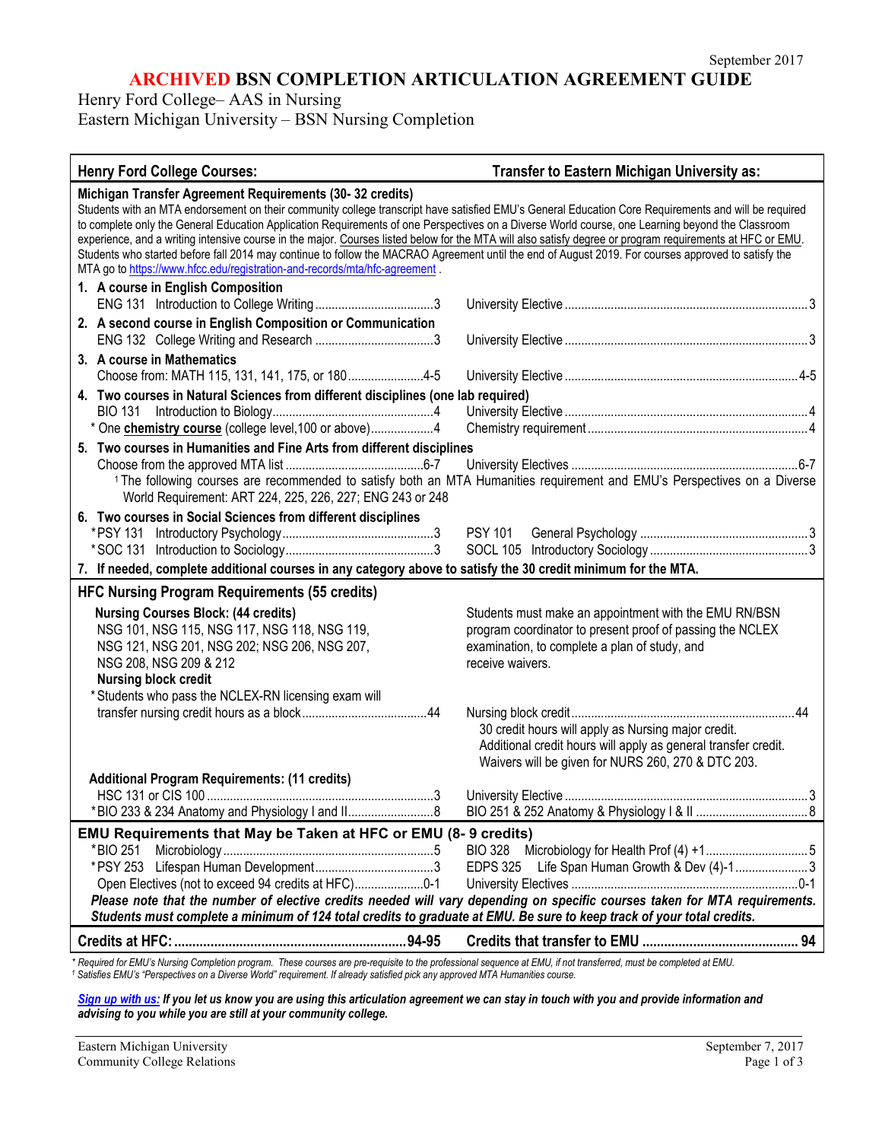# **ARCHIVED BSN COMPLETION ARTICULATION AGREEMENT GUIDE**

Henry Ford College– AAS in Nursing

Eastern Michigan University – BSN Nursing Completion

#### **Henry Ford College Courses: Transfer to Eastern Michigan University as: Michigan Transfer Agreement Requirements (30- 32 credits)** Students with an MTA endorsement on their community college transcript have satisfied EMU's General Education Core Requirements and will be required to complete only the General Education Application Requirements of one Perspectives on a Diverse World course, one Learning beyond the Classroom experience, and a writing intensive course in the major. Courses listed below for the MTA will also satisfy degree or program requirements at HFC or EMU. Students who started before fall 2014 may continue to follow the MACRAO Agreement until the end of August 2019. For courses approved to satisfy the MTA go to<https://www.hfcc.edu/registration-and-records/mta/hfc-agreement>. **1. A course in English Composition** ENG 131 Introduction to College Writing....................................3 University Elective ..........................................................................3 **2. A second course in English Composition or Communication** ENG 132 College Writing and Research ....................................3 University Elective ..........................................................................3 **3. A course in Mathematics** Choose from: MATH 115, 131, 141, 175, or 180.......................4-5 University Elective .......................................................................4-5 **4. Two courses in Natural Sciences from different disciplines (one lab required)** BIO 131 Introduction to Biology.................................................4 University Elective ..........................................................................4 \* One **chemistry course** (college level,100 or above)...................4 Chemistry requirement ...................................................................4 **5. Two courses in Humanities and Fine Arts from different disciplines**  Choose from the approved MTA list ..........................................6-7 University Electives .....................................................................6-7 <sup>1</sup> The following courses are recommended to satisfy both an MTA Humanities requirement and EMU's Perspectives on a Diverse World Requirement: ART 224, 225, 226, 227; ENG 243 or 248 **6. Two courses in Social Sciences from different disciplines** \*PSY 131 Introductory Psychology..............................................3 PSY 101 General Psychology ...................................................3 \*SOC 131 Introduction to Sociology.............................................3 SOCL 105 Introductory Sociology ................................................3 **7. If needed, complete additional courses in any category above to satisfy the 30 credit minimum for the MTA. HFC Nursing Program Requirements (55 credits) Nursing Courses Block: (44 credits)** Students must make an appointment with the EMU RN/BSN NSG 101, NSG 115, NSG 117, NSG 118, NSG 119, program coordinator to present proof of passing the NCLEX NSG 121, NSG 201, NSG 202; NSG 206, NSG 207, examination, to complete a plan of study, and NSG 208, NSG 209 & 212 **Receive waivers. Nursing block credit** \* Students who pass the NCLEX-RN licensing exam will transfer nursing credit hours as a block......................................44 Nursing block credit....................................................................44 30 credit hours will apply as Nursing major credit. Additional credit hours will apply as general transfer credit. Waivers will be given for NURS 260, 270 & DTC 203. **Additional Program Requirements: (11 credits)** HSC 131 or CIS 100 .....................................................................3 University Elective ..........................................................................3 \*BIO 233 & 234 Anatomy and Physiology I and II..........................8 BIO 251 & 252 Anatomy & Physiology I & II ..................................8 **EMU Requirements that May be Taken at HFC or EMU (8- 9 credits)** \*BIO 251 Microbiology ................................................................5 BIO 328 Microbiology for Health Prof (4) +1...............................5 \*PSY 253 Lifespan Human Development....................................3 EDPS 325 Life Span Human Growth & Dev (4)-1......................3 Open Electives (not to exceed 94 credits at HFC).....................0-1 University Electives .....................................................................0-1 *Please note that the number of elective credits needed will vary depending on specific courses taken for MTA requirements. Students must complete a minimum of 124 total credits to graduate at EMU. Be sure to keep track of your total credits.* **Credits at HFC:................................................................94-95 Credits that transfer to EMU ........................................... 94** *\* Required for EMU's Nursing Completion program. These courses are pre-requisite to the professional sequence at EMU, if not transferred, must be completed at EMU.*

*<sup>1</sup> Satisfies EMU's "Perspectives on a Diverse World" requirement. If already satisfied pick any approved MTA Humanities course.*

*[Sign up with us:](https://www.emich.edu/ccr/articulation-agreements/signup.php) If you let us know you are using this articulation agreement we can stay in touch with you and provide information and advising to you while you are still at your community college.*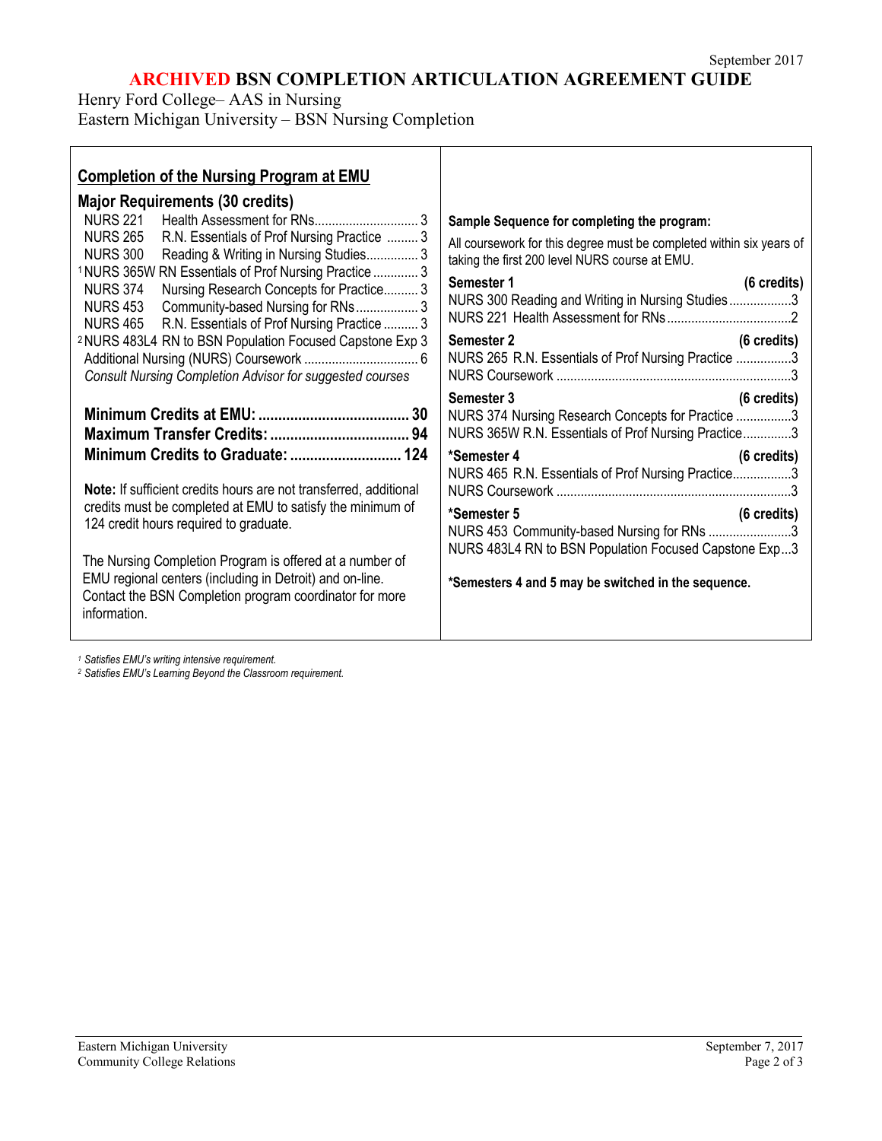# **ARCHIVED BSN COMPLETION ARTICULATION AGREEMENT GUIDE**

Henry Ford College– AAS in Nursing Eastern Michigan University – BSN Nursing Completion

| <b>Completion of the Nursing Program at EMU</b>                                                                                                                                                                                                                                                                                                                                                                                                                                                |                                                                                                                                                                                                                                                                                                                                                                                                                                           |
|------------------------------------------------------------------------------------------------------------------------------------------------------------------------------------------------------------------------------------------------------------------------------------------------------------------------------------------------------------------------------------------------------------------------------------------------------------------------------------------------|-------------------------------------------------------------------------------------------------------------------------------------------------------------------------------------------------------------------------------------------------------------------------------------------------------------------------------------------------------------------------------------------------------------------------------------------|
| <b>Major Requirements (30 credits)</b><br><b>NURS 221</b><br><b>NURS 265</b><br>R.N. Essentials of Prof Nursing Practice  3<br>NURS 300 Reading & Writing in Nursing Studies 3<br><sup>1</sup> NURS 365W RN Essentials of Prof Nursing Practice  3<br>Nursing Research Concepts for Practice 3<br><b>NURS 374</b><br>NURS 453 Community-based Nursing for RNs 3<br>NURS 465 R.N. Essentials of Prof Nursing Practice  3<br><sup>2</sup> NURS 483L4 RN to BSN Population Focused Capstone Exp 3 | Sample Sequence for completing the program:<br>All coursework for this degree must be completed within six years of<br>taking the first 200 level NURS course at EMU.<br>Semester 1<br>$(6 \text{ credits})$<br>NURS 300 Reading and Writing in Nursing Studies3<br>Semester 2<br>$(6 \text{ credits})$<br>NURS 265 R.N. Essentials of Prof Nursing Practice 3                                                                            |
| Consult Nursing Completion Advisor for suggested courses<br>Note: If sufficient credits hours are not transferred, additional<br>credits must be completed at EMU to satisfy the minimum of<br>124 credit hours required to graduate.<br>The Nursing Completion Program is offered at a number of<br>EMU regional centers (including in Detroit) and on-line.<br>Contact the BSN Completion program coordinator for more<br>information.                                                       | Semester 3<br>(6 credits)<br>NURS 374 Nursing Research Concepts for Practice 3<br>NURS 365W R.N. Essentials of Prof Nursing Practice3<br>*Semester 4<br>$(6 \text{ credits})$<br>NURS 465 R.N. Essentials of Prof Nursing Practice3<br>*Semester 5<br>$(6 \text{ credits})$<br>NURS 453 Community-based Nursing for RNs 3<br>NURS 483L4 RN to BSN Population Focused Capstone Exp3<br>*Semesters 4 and 5 may be switched in the sequence. |

*<sup>1</sup> Satisfies EMU's writing intensive requirement.*

*<sup>2</sup> Satisfies EMU's Learning Beyond the Classroom requirement.*